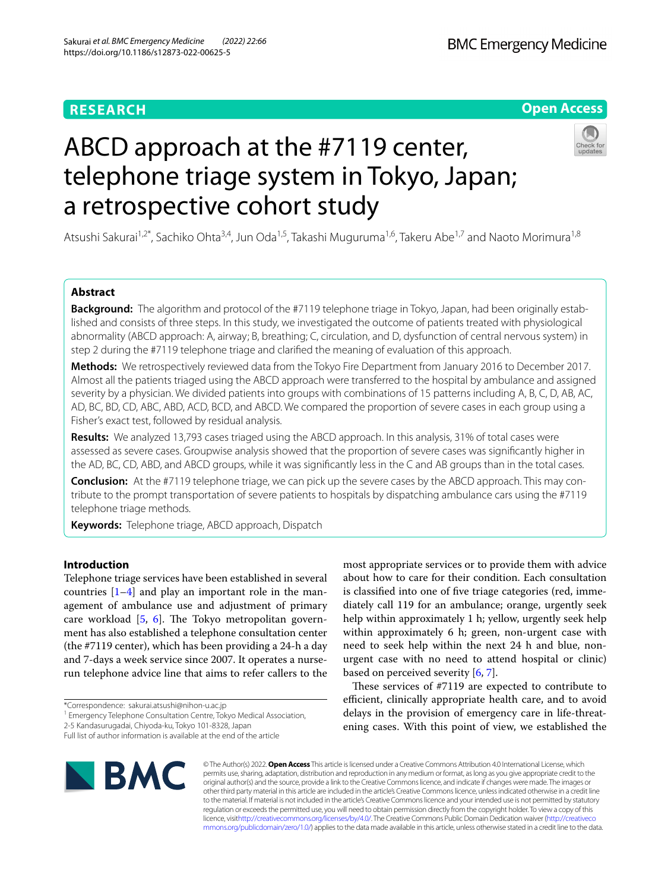# **RESEARCH**



# ABCD approach at the #7119 center, telephone triage system in Tokyo, Japan; a retrospective cohort study



Atsushi Sakurai<sup>1,2\*</sup>, Sachiko Ohta<sup>3,4</sup>, Jun Oda<sup>1,5</sup>, Takashi Muguruma<sup>1,6</sup>, Takeru Abe<sup>1,7</sup> and Naoto Morimura<sup>1,8</sup>

# **Abstract**

**Background:** The algorithm and protocol of the #7119 telephone triage in Tokyo, Japan, had been originally established and consists of three steps. In this study, we investigated the outcome of patients treated with physiological abnormality (ABCD approach: A, airway; B, breathing; C, circulation, and D, dysfunction of central nervous system) in step 2 during the #7119 telephone triage and clarifed the meaning of evaluation of this approach.

**Methods:** We retrospectively reviewed data from the Tokyo Fire Department from January 2016 to December 2017. Almost all the patients triaged using the ABCD approach were transferred to the hospital by ambulance and assigned severity by a physician. We divided patients into groups with combinations of 15 patterns including A, B, C, D, AB, AC, AD, BC, BD, CD, ABC, ABD, ACD, BCD, and ABCD. We compared the proportion of severe cases in each group using a Fisher's exact test, followed by residual analysis.

**Results:** We analyzed 13,793 cases triaged using the ABCD approach. In this analysis, 31% of total cases were assessed as severe cases. Groupwise analysis showed that the proportion of severe cases was signifcantly higher in the AD, BC, CD, ABD, and ABCD groups, while it was signifcantly less in the C and AB groups than in the total cases.

**Conclusion:** At the #7119 telephone triage, we can pick up the severe cases by the ABCD approach. This may contribute to the prompt transportation of severe patients to hospitals by dispatching ambulance cars using the #7119 telephone triage methods.

**Keywords:** Telephone triage, ABCD approach, Dispatch

# **Introduction**

Telephone triage services have been established in several countries  $[1-4]$  $[1-4]$  $[1-4]$  and play an important role in the management of ambulance use and adjustment of primary care workload  $[5, 6]$  $[5, 6]$  $[5, 6]$ . The Tokyo metropolitan government has also established a telephone consultation center (the #7119 center), which has been providing a 24-h a day and 7-days a week service since 2007. It operates a nurserun telephone advice line that aims to refer callers to the

2-5 Kandasurugadai, Chiyoda-ku, Tokyo 101-8328, Japan

most appropriate services or to provide them with advice about how to care for their condition. Each consultation is classifed into one of fve triage categories (red, immediately call 119 for an ambulance; orange, urgently seek help within approximately 1 h; yellow, urgently seek help within approximately 6 h; green, non-urgent case with need to seek help within the next 24 h and blue, nonurgent case with no need to attend hospital or clinic) based on perceived severity  $[6, 7]$  $[6, 7]$  $[6, 7]$ .

These services of  $#7119$  are expected to contribute to efficient, clinically appropriate health care, and to avoid delays in the provision of emergency care in life-threatening cases. With this point of view, we established the



© The Author(s) 2022. **Open Access** This article is licensed under a Creative Commons Attribution 4.0 International License, which permits use, sharing, adaptation, distribution and reproduction in any medium or format, as long as you give appropriate credit to the original author(s) and the source, provide a link to the Creative Commons licence, and indicate if changes were made. The images or other third party material in this article are included in the article's Creative Commons licence, unless indicated otherwise in a credit line to the material. If material is not included in the article's Creative Commons licence and your intended use is not permitted by statutory regulation or exceeds the permitted use, you will need to obtain permission directly from the copyright holder. To view a copy of this licence, visi[thttp://creativecommons.org/licenses/by/4.0/](http://creativecommons.org/licenses/by/4.0/). The Creative Commons Public Domain Dedication waiver [\(http://creativeco](http://creativecommons.org/publicdomain/zero/1.0/) [mmons.org/publicdomain/zero/1.0/](http://creativecommons.org/publicdomain/zero/1.0/)) applies to the data made available in this article, unless otherwise stated in a credit line to the data.

<sup>\*</sup>Correspondence: sakurai.atsushi@nihon-u.ac.jp

<sup>&</sup>lt;sup>1</sup> Emergency Telephone Consultation Centre, Tokyo Medical Association,

Full list of author information is available at the end of the article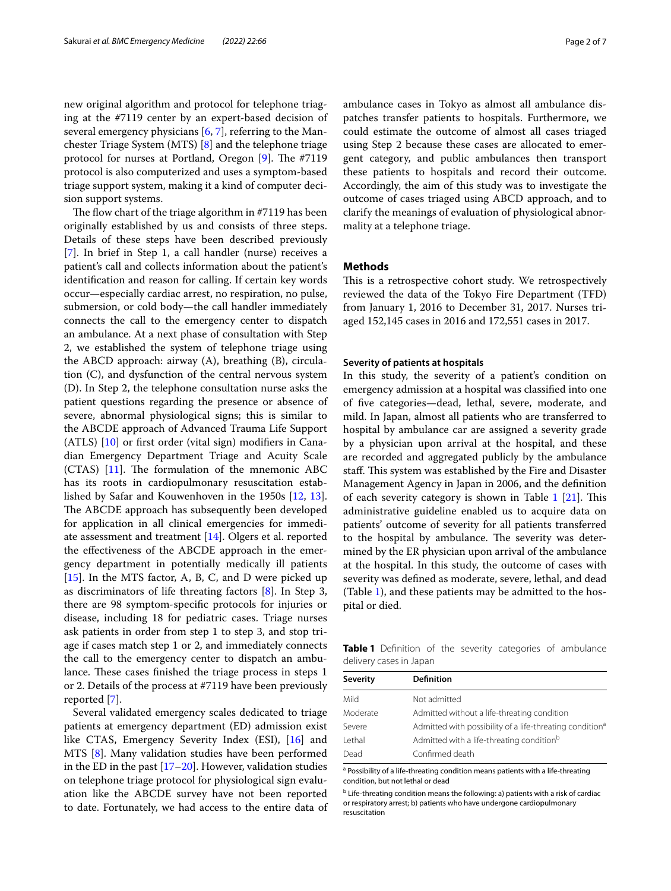new original algorithm and protocol for telephone triaging at the #7119 center by an expert-based decision of several emergency physicians [[6,](#page-6-3) [7](#page-6-4)], referring to the Manchester Triage System (MTS) [\[8\]](#page-6-5) and the telephone triage protocol for nurses at Portland, Oregon  $[9]$  $[9]$ . The #7119 protocol is also computerized and uses a symptom-based triage support system, making it a kind of computer decision support systems.

The flow chart of the triage algorithm in  $#7119$  has been originally established by us and consists of three steps. Details of these steps have been described previously [[7\]](#page-6-4). In brief in Step 1, a call handler (nurse) receives a patient's call and collects information about the patient's identifcation and reason for calling. If certain key words occur—especially cardiac arrest, no respiration, no pulse, submersion, or cold body—the call handler immediately connects the call to the emergency center to dispatch an ambulance. At a next phase of consultation with Step 2, we established the system of telephone triage using the ABCD approach: airway (A), breathing (B), circulation (C), and dysfunction of the central nervous system (D). In Step 2, the telephone consultation nurse asks the patient questions regarding the presence or absence of severe, abnormal physiological signs; this is similar to the ABCDE approach of Advanced Trauma Life Support (ATLS) [[10\]](#page-6-7) or frst order (vital sign) modifers in Canadian Emergency Department Triage and Acuity Scale (CTAS)  $[11]$  $[11]$ . The formulation of the mnemonic ABC has its roots in cardiopulmonary resuscitation established by Safar and Kouwenhoven in the 1950s [[12,](#page-6-9) [13](#page-6-10)]. The ABCDE approach has subsequently been developed for application in all clinical emergencies for immediate assessment and treatment [\[14](#page-6-11)]. Olgers et al. reported the efectiveness of the ABCDE approach in the emergency department in potentially medically ill patients [[15\]](#page-6-12). In the MTS factor, A, B, C, and D were picked up as discriminators of life threating factors [\[8](#page-6-5)]. In Step 3, there are 98 symptom-specifc protocols for injuries or disease, including 18 for pediatric cases. Triage nurses ask patients in order from step 1 to step 3, and stop triage if cases match step 1 or 2, and immediately connects the call to the emergency center to dispatch an ambulance. These cases finished the triage process in steps 1 or 2. Details of the process at #7119 have been previously reported [[7\]](#page-6-4).

Several validated emergency scales dedicated to triage patients at emergency department (ED) admission exist like CTAS, Emergency Severity Index (ESI), [\[16](#page-6-13)] and MTS [\[8](#page-6-5)]. Many validation studies have been performed in the ED in the past [\[17](#page-6-14)[–20\]](#page-6-15). However, validation studies on telephone triage protocol for physiological sign evaluation like the ABCDE survey have not been reported to date. Fortunately, we had access to the entire data of ambulance cases in Tokyo as almost all ambulance dispatches transfer patients to hospitals. Furthermore, we could estimate the outcome of almost all cases triaged using Step 2 because these cases are allocated to emergent category, and public ambulances then transport these patients to hospitals and record their outcome. Accordingly, the aim of this study was to investigate the outcome of cases triaged using ABCD approach, and to clarify the meanings of evaluation of physiological abnormality at a telephone triage.

# **Methods**

This is a retrospective cohort study. We retrospectively reviewed the data of the Tokyo Fire Department (TFD) from January 1, 2016 to December 31, 2017. Nurses triaged 152,145 cases in 2016 and 172,551 cases in 2017.

### **Severity of patients at hospitals**

In this study, the severity of a patient's condition on emergency admission at a hospital was classifed into one of fve categories—dead, lethal, severe, moderate, and mild. In Japan, almost all patients who are transferred to hospital by ambulance car are assigned a severity grade by a physician upon arrival at the hospital, and these are recorded and aggregated publicly by the ambulance staff. This system was established by the Fire and Disaster Management Agency in Japan in 2006, and the defnition of each severity category is shown in Table  $1$  [\[21](#page-6-16)]. This administrative guideline enabled us to acquire data on patients' outcome of severity for all patients transferred to the hospital by ambulance. The severity was determined by the ER physician upon arrival of the ambulance at the hospital. In this study, the outcome of cases with severity was defned as moderate, severe, lethal, and dead (Table [1\)](#page-1-0), and these patients may be admitted to the hospital or died.

<span id="page-1-0"></span>**Table 1** Definition of the severity categories of ambulance delivery cases in Japan

| <b>Severity</b> | <b>Definition</b>                                                    |
|-----------------|----------------------------------------------------------------------|
| Mild            | Not admitted                                                         |
| Moderate        | Admitted without a life-threating condition                          |
| Severe          | Admitted with possibility of a life-threating condition <sup>a</sup> |
| I ethal         | Admitted with a life-threating condition <sup>b</sup>                |
| Dead            | Confirmed death                                                      |

<sup>a</sup> Possibility of a life-threating condition means patients with a life-threating condition, but not lethal or dead

**b** Life-threating condition means the following: a) patients with a risk of cardiac or respiratory arrest; b) patients who have undergone cardiopulmonary resuscitation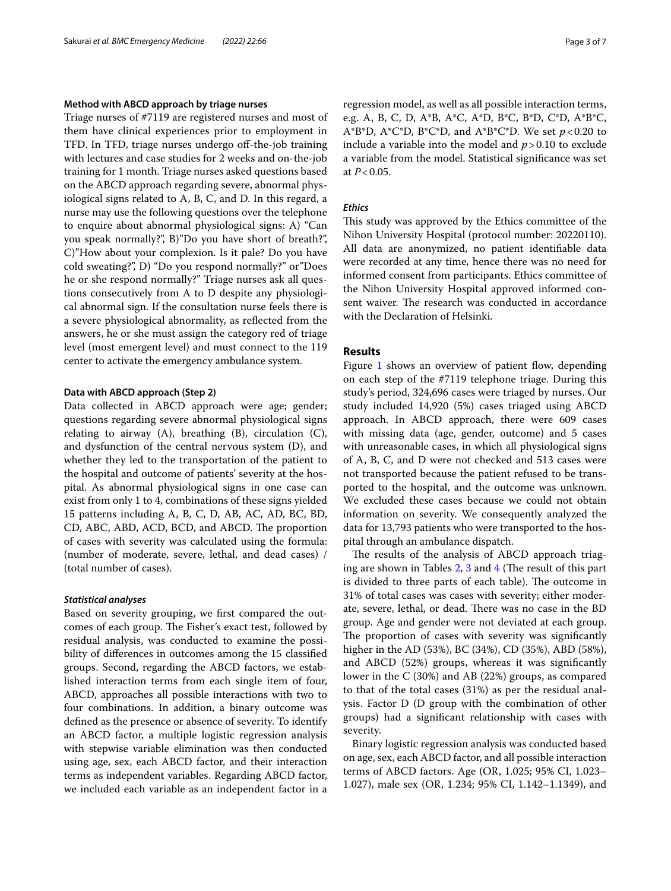# **Method with ABCD approach by triage nurses**

Triage nurses of #7119 are registered nurses and most of them have clinical experiences prior to employment in TFD. In TFD, triage nurses undergo off-the-job training with lectures and case studies for 2 weeks and on-the-job training for 1 month. Triage nurses asked questions based on the ABCD approach regarding severe, abnormal physiological signs related to A, B, C, and D. In this regard, a nurse may use the following questions over the telephone to enquire about abnormal physiological signs: A) "Can you speak normally?", B)"Do you have short of breath?", C)"How about your complexion. Is it pale? Do you have cold sweating?", D) "Do you respond normally?" or"Does he or she respond normally?" Triage nurses ask all questions consecutively from A to D despite any physiological abnormal sign. If the consultation nurse feels there is a severe physiological abnormality, as refected from the answers, he or she must assign the category red of triage level (most emergent level) and must connect to the 119 center to activate the emergency ambulance system.

# **Data with ABCD approach (Step 2)**

Data collected in ABCD approach were age; gender; questions regarding severe abnormal physiological signs relating to airway  $(A)$ , breathing  $(B)$ , circulation  $(C)$ , and dysfunction of the central nervous system (D), and whether they led to the transportation of the patient to the hospital and outcome of patients' severity at the hospital. As abnormal physiological signs in one case can exist from only 1 to 4, combinations of these signs yielded 15 patterns including A, B, C, D, AB, AC, AD, BC, BD, CD, ABC, ABD, ACD, BCD, and ABCD. The proportion of cases with severity was calculated using the formula: (number of moderate, severe, lethal, and dead cases) / (total number of cases).

# *Statistical analyses*

Based on severity grouping, we frst compared the outcomes of each group. The Fisher's exact test, followed by residual analysis, was conducted to examine the possibility of diferences in outcomes among the 15 classifed groups. Second, regarding the ABCD factors, we established interaction terms from each single item of four, ABCD, approaches all possible interactions with two to four combinations. In addition, a binary outcome was defned as the presence or absence of severity. To identify an ABCD factor, a multiple logistic regression analysis with stepwise variable elimination was then conducted using age, sex, each ABCD factor, and their interaction terms as independent variables. Regarding ABCD factor, we included each variable as an independent factor in a regression model, as well as all possible interaction terms, e.g. A, B, C, D, A\*B, A\*C, A\*D, B\*C, B\*D, C\*D, A\*B\*C, A\*B\*D, A\*C\*D, B\*C\*D, and A\*B\*C\*D. We set  $p < 0.20$  to include a variable into the model and  $p > 0.10$  to exclude a variable from the model. Statistical signifcance was set at *P*<0.05.

# *Ethics*

This study was approved by the Ethics committee of the Nihon University Hospital (protocol number: 20220110). All data are anonymized, no patient identifable data were recorded at any time, hence there was no need for informed consent from participants. Ethics committee of the Nihon University Hospital approved informed consent waiver. The research was conducted in accordance with the Declaration of Helsinki.

# **Results**

Figure  $1$  shows an overview of patient flow, depending on each step of the #7119 telephone triage. During this study's period, 324,696 cases were triaged by nurses. Our study included 14,920 (5%) cases triaged using ABCD approach. In ABCD approach, there were 609 cases with missing data (age, gender, outcome) and 5 cases with unreasonable cases, in which all physiological signs of A, B, C, and D were not checked and 513 cases were not transported because the patient refused to be transported to the hospital, and the outcome was unknown. We excluded these cases because we could not obtain information on severity. We consequently analyzed the data for 13,793 patients who were transported to the hospital through an ambulance dispatch.

The results of the analysis of ABCD approach triaging are shown in Tables  $2$ ,  $3$  and  $4$  (The result of this part is divided to three parts of each table). The outcome in 31% of total cases was cases with severity; either moderate, severe, lethal, or dead. There was no case in the BD group. Age and gender were not deviated at each group. The proportion of cases with severity was significantly higher in the AD (53%), BC (34%), CD (35%), ABD (58%), and ABCD (52%) groups, whereas it was signifcantly lower in the C (30%) and AB (22%) groups, as compared to that of the total cases (31%) as per the residual analysis. Factor D (D group with the combination of other groups) had a signifcant relationship with cases with severity.

Binary logistic regression analysis was conducted based on age, sex, each ABCD factor, and all possible interaction terms of ABCD factors. Age (OR, 1.025; 95% CI, 1.023– 1.027), male sex (OR, 1.234; 95% CI, 1.142–1.1349), and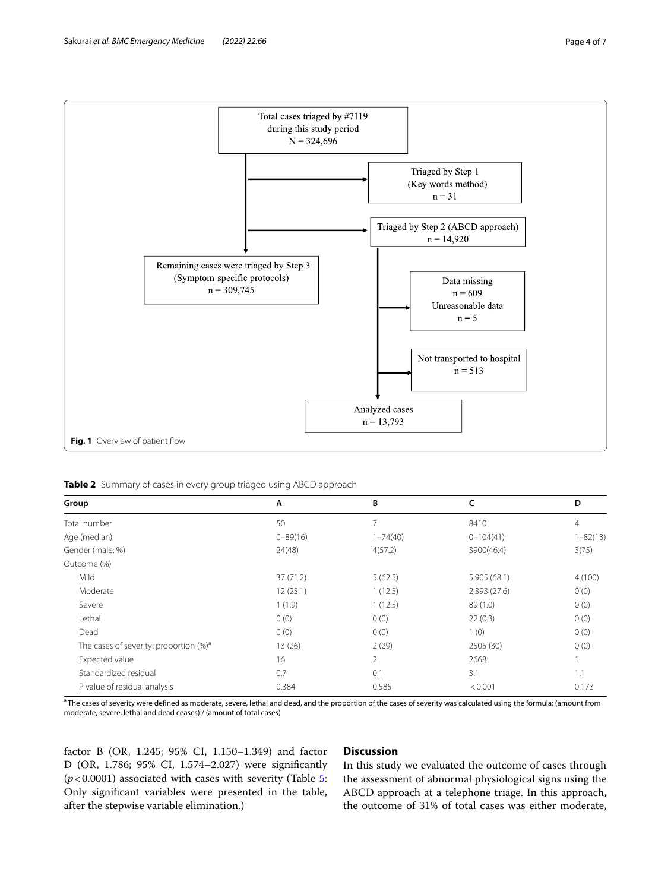

<span id="page-3-1"></span><span id="page-3-0"></span>**Table 2** Summary of cases in every group triaged using ABCD approach

| Group                                              | A            | B            | c             | D            |
|----------------------------------------------------|--------------|--------------|---------------|--------------|
| Total number                                       | 50           | 7            | 8410          | 4            |
| Age (median)                                       | $0 - 89(16)$ | $1 - 74(40)$ | $0 - 104(41)$ | $1 - 82(13)$ |
| Gender (male: %)                                   | 24(48)       | 4(57.2)      | 3900(46.4)    | 3(75)        |
| Outcome (%)                                        |              |              |               |              |
| Mild                                               | 37(71.2)     | 5(62.5)      | 5,905 (68.1)  | 4(100)       |
| Moderate                                           | 12(23.1)     | 1(12.5)      | 2,393 (27.6)  | 0(0)         |
| Severe                                             | 1(1.9)       | 1(12.5)      | 89(1.0)       | 0(0)         |
| Lethal                                             | 0(0)         | 0(0)         | 22(0.3)       | 0(0)         |
| Dead                                               | 0(0)         | 0(0)         | 1(0)          | 0(0)         |
| The cases of severity: proportion (%) <sup>a</sup> | 13(26)       | 2(29)        | 2505 (30)     | 0(0)         |
| Expected value                                     | 16           | 2            | 2668          |              |
| Standardized residual                              | 0.7          | 0.1          | 3.1           | 1.1          |
| P value of residual analysis                       | 0.384        | 0.585        | < 0.001       | 0.173        |

<sup>a</sup> The cases of severity were defined as moderate, severe, lethal and dead, and the proportion of the cases of severity was calculated using the formula: (amount from moderate, severe, lethal and dead ceases) / (amount of total cases)

factor B (OR, 1.245; 95% CI, 1.150–1.349) and factor D (OR, 1.786; 95% CI, 1.574–2.027) were signifcantly (*p*<0.0001) associated with cases with severity (Table [5](#page-4-2): Only signifcant variables were presented in the table, after the stepwise variable elimination.)

# **Discussion**

In this study we evaluated the outcome of cases through the assessment of abnormal physiological signs using the ABCD approach at a telephone triage. In this approach, the outcome of 31% of total cases was either moderate,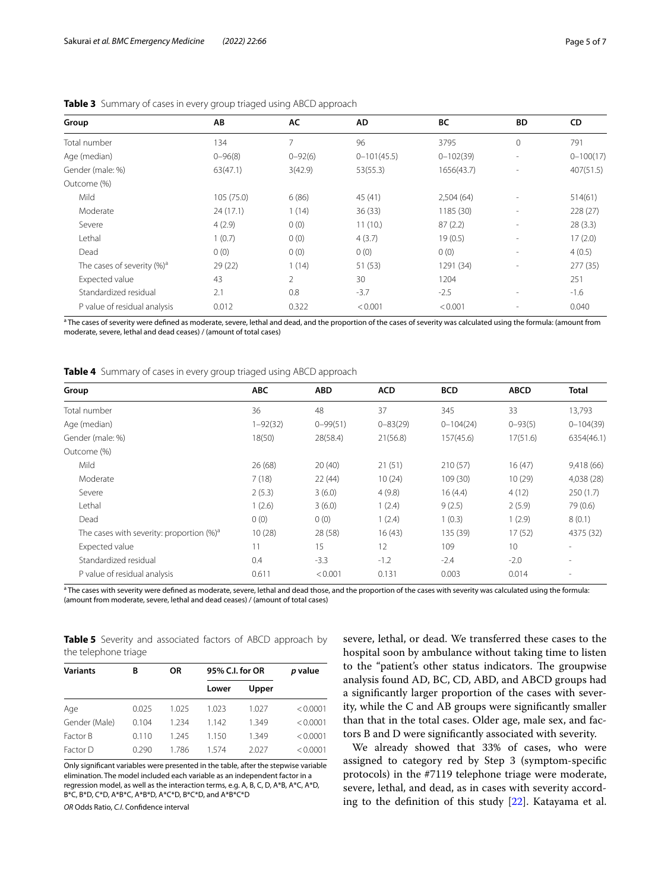| Group                          | AB          | AC          | AD              | ВC            | <b>BD</b>                | CD            |  |
|--------------------------------|-------------|-------------|-----------------|---------------|--------------------------|---------------|--|
| Total number                   | 134         | 7           | 96              | 3795          | $\mathbf{0}$             | 791           |  |
| Age (median)                   | $0 - 96(8)$ | $0 - 92(6)$ | $0 - 101(45.5)$ | $0 - 102(39)$ | $\sim$                   | $0 - 100(17)$ |  |
| Gender (male: %)               | 63(47.1)    | 3(42.9)     | 53(55.3)        | 1656(43.7)    | ٠                        | 407(51.5)     |  |
| Outcome (%)                    |             |             |                 |               |                          |               |  |
| Mild                           | 105 (75.0)  | 6(86)       | 45 (41)         | 2,504(64)     | $\overline{\phantom{a}}$ | 514(61)       |  |
| Moderate                       | 24(17.1)    | 1(14)       | 36(33)          | 1185 (30)     | $\overline{\phantom{a}}$ | 228 (27)      |  |
| Severe                         | 4(2.9)      | 0(0)        | 11(10.)         | 87(2.2)       | $\overline{\phantom{a}}$ | 28(3.3)       |  |
| Lethal                         | 1(0.7)      | 0(0)        | 4(3.7)          | 19(0.5)       | $\overline{\phantom{a}}$ | 17(2.0)       |  |
| Dead                           | 0(0)        | 0(0)        | 0(0)            | 0(0)          | $\overline{\phantom{a}}$ | 4(0.5)        |  |
| The cases of severity $(\%)^a$ | 29(22)      | 1(14)       | 51 (53)         | 1291 (34)     | $\overline{\phantom{a}}$ | 277(35)       |  |
| Expected value                 | 43          | 2           | 30              | 1204          |                          | 251           |  |
| Standardized residual          | 2.1         | 0.8         | $-3.7$          | $-2.5$        | $\sim$                   | $-1.6$        |  |
| P value of residual analysis   | 0.012       | 0.322       | < 0.001         | < 0.001       |                          | 0.040         |  |
|                                |             |             |                 |               |                          |               |  |

# <span id="page-4-0"></span>**Table 3** Summary of cases in every group triaged using ABCD approach

<sup>a</sup> The cases of severity were defined as moderate, severe, lethal and dead, and the proportion of the cases of severity was calculated using the formula: (amount from moderate, severe, lethal and dead ceases) / (amount of total cases)

<span id="page-4-1"></span>**Table 4** Summary of cases in every group triaged using ABCD approach

| Group                                        | <b>ABC</b>   | <b>ABD</b>   | <b>ACD</b>   | <b>BCD</b>    | <b>ABCD</b> | <b>Total</b>             |
|----------------------------------------------|--------------|--------------|--------------|---------------|-------------|--------------------------|
| Total number                                 | 36           | 48           | 37           | 345           | 33          | 13.793                   |
| Age (median)                                 | $1 - 92(32)$ | $0 - 99(51)$ | $0 - 83(29)$ | $0 - 104(24)$ | $0 - 93(5)$ | $0 - 104(39)$            |
| Gender (male: %)                             | 18(50)       | 28(58.4)     | 21(56.8)     | 157(45.6)     | 17(51.6)    | 6354(46.1)               |
| Outcome (%)                                  |              |              |              |               |             |                          |
| Mild                                         | 26 (68)      | 20(40)       | 21(51)       | 210(57)       | 16(47)      | 9,418 (66)               |
| Moderate                                     | 7(18)        | 22(44)       | 10(24)       | 109 (30)      | 10(29)      | 4,038 (28)               |
| Severe                                       | 2(5.3)       | 3(6.0)       | 4(9.8)       | 16(4.4)       | 4(12)       | 250(1.7)                 |
| Lethal                                       | 1(2.6)       | 3(6.0)       | 1(2.4)       | 9(2.5)        | 2(5.9)      | 79 (0.6)                 |
| Dead                                         | 0(0)         | 0(0)         | 1(2.4)       | 1(0.3)        | 1(2.9)      | 8(0.1)                   |
| The cases with severity: proportion $(\%)^a$ | 10(28)       | 28 (58)      | 16(43)       | 135 (39)      | 17(52)      | 4375 (32)                |
| Expected value                               | 11           | 15           | 12           | 109           | 10          | $\sim$                   |
| Standardized residual                        | 0.4          | $-3.3$       | $-1.2$       | $-2.4$        | $-2.0$      | $\overline{\phantom{a}}$ |
| P value of residual analysis                 | 0.611        | < 0.001      | 0.131        | 0.003         | 0.014       | $\overline{\phantom{a}}$ |

<sup>a</sup> The cases with severity were defined as moderate, severe, lethal and dead those, and the proportion of the cases with severity was calculated using the formula: (amount from moderate, severe, lethal and dead ceases) / (amount of total cases)

<span id="page-4-2"></span>**Table 5** Severity and associated factors of ABCD approach by the telephone triage

| <b>Variants</b> | В     | <b>OR</b> | 95% C.I. for OR | p value |          |
|-----------------|-------|-----------|-----------------|---------|----------|
|                 |       |           | Lower           | Upper   |          |
| Age             | 0.025 | 1.025     | 1.023           | 1.027   | < 0.0001 |
| Gender (Male)   | 0.104 | 1.234     | 1.142           | 1.349   | < 0.0001 |
| Factor B        | 0.110 | 1.245     | 1.150           | 1.349   | < 0.0001 |
| Factor D        | 0.290 | 1 786     | 1 574           | 2.027   | < 0.0001 |

Only signifcant variables were presented in the table, after the stepwise variable elimination. The model included each variable as an independent factor in a regression model, as well as the interaction terms, e.g. A, B, C, D, A\*B, A\*C, A\*D, B\*C, B\*D, C\*D, A\*B\*C, A\*B\*D, A\*C\*D, B\*C\*D, and A\*B\*C\*D

*OR* Odds Ratio, *C.I*. Confdence interval

severe, lethal, or dead. We transferred these cases to the hospital soon by ambulance without taking time to listen to the "patient's other status indicators. The groupwise analysis found AD, BC, CD, ABD, and ABCD groups had a signifcantly larger proportion of the cases with severity, while the C and AB groups were signifcantly smaller than that in the total cases. Older age, male sex, and factors B and D were signifcantly associated with severity.

We already showed that 33% of cases, who were assigned to category red by Step 3 (symptom-specifc protocols) in the #7119 telephone triage were moderate, severe, lethal, and dead, as in cases with severity according to the defnition of this study [\[22](#page-6-17)]. Katayama et al.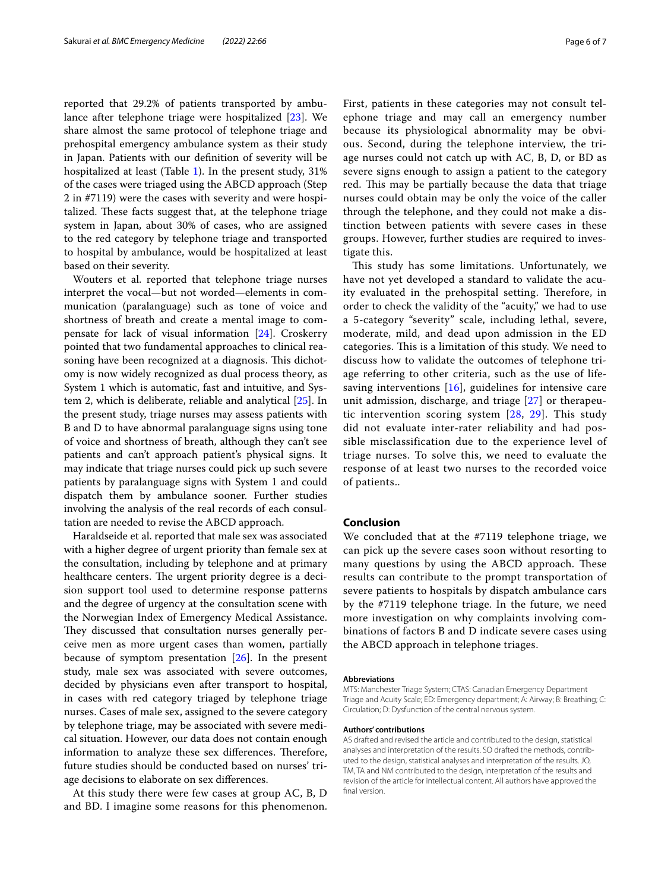reported that 29.2% of patients transported by ambulance after telephone triage were hospitalized [\[23](#page-6-18)]. We share almost the same protocol of telephone triage and prehospital emergency ambulance system as their study in Japan. Patients with our defnition of severity will be hospitalized at least (Table [1](#page-1-0)). In the present study, 31% of the cases were triaged using the ABCD approach (Step 2 in #7119) were the cases with severity and were hospitalized. These facts suggest that, at the telephone triage system in Japan, about 30% of cases, who are assigned to the red category by telephone triage and transported to hospital by ambulance, would be hospitalized at least based on their severity.

Wouters et al. reported that telephone triage nurses interpret the vocal—but not worded—elements in communication (paralanguage) such as tone of voice and shortness of breath and create a mental image to compensate for lack of visual information [\[24](#page-6-19)]. Croskerry pointed that two fundamental approaches to clinical reasoning have been recognized at a diagnosis. This dichotomy is now widely recognized as dual process theory, as System 1 which is automatic, fast and intuitive, and System 2, which is deliberate, reliable and analytical [[25\]](#page-6-20). In the present study, triage nurses may assess patients with B and D to have abnormal paralanguage signs using tone of voice and shortness of breath, although they can't see patients and can't approach patient's physical signs. It may indicate that triage nurses could pick up such severe patients by paralanguage signs with System 1 and could dispatch them by ambulance sooner. Further studies involving the analysis of the real records of each consultation are needed to revise the ABCD approach.

Haraldseide et al. reported that male sex was associated with a higher degree of urgent priority than female sex at the consultation, including by telephone and at primary healthcare centers. The urgent priority degree is a decision support tool used to determine response patterns and the degree of urgency at the consultation scene with the Norwegian Index of Emergency Medical Assistance. They discussed that consultation nurses generally perceive men as more urgent cases than women, partially because of symptom presentation [[26\]](#page-6-21). In the present study, male sex was associated with severe outcomes, decided by physicians even after transport to hospital, in cases with red category triaged by telephone triage nurses. Cases of male sex, assigned to the severe category by telephone triage, may be associated with severe medical situation. However, our data does not contain enough information to analyze these sex differences. Therefore, future studies should be conducted based on nurses' triage decisions to elaborate on sex diferences.

At this study there were few cases at group AC, B, D and BD. I imagine some reasons for this phenomenon. First, patients in these categories may not consult telephone triage and may call an emergency number because its physiological abnormality may be obvious. Second, during the telephone interview, the triage nurses could not catch up with AC, B, D, or BD as severe signs enough to assign a patient to the category red. This may be partially because the data that triage nurses could obtain may be only the voice of the caller through the telephone, and they could not make a distinction between patients with severe cases in these groups. However, further studies are required to investigate this.

This study has some limitations. Unfortunately, we have not yet developed a standard to validate the acuity evaluated in the prehospital setting. Therefore, in order to check the validity of the "acuity," we had to use a 5-category "severity" scale, including lethal, severe, moderate, mild, and dead upon admission in the ED categories. This is a limitation of this study. We need to discuss how to validate the outcomes of telephone triage referring to other criteria, such as the use of lifesaving interventions  $[16]$  $[16]$  $[16]$ , guidelines for intensive care unit admission, discharge, and triage [[27\]](#page-6-22) or therapeutic intervention scoring system [[28](#page-6-23), [29\]](#page-6-24). This study did not evaluate inter-rater reliability and had possible misclassification due to the experience level of triage nurses. To solve this, we need to evaluate the response of at least two nurses to the recorded voice of patients..

# **Conclusion**

We concluded that at the #7119 telephone triage, we can pick up the severe cases soon without resorting to many questions by using the ABCD approach. These results can contribute to the prompt transportation of severe patients to hospitals by dispatch ambulance cars by the #7119 telephone triage. In the future, we need more investigation on why complaints involving combinations of factors B and D indicate severe cases using the ABCD approach in telephone triages.

#### **Abbreviations**

MTS: Manchester Triage System; CTAS: Canadian Emergency Department Triage and Acuity Scale; ED: Emergency department; A: Airway; B: Breathing; C: Circulation; D: Dysfunction of the central nervous system.

#### **Authors' contributions**

AS drafted and revised the article and contributed to the design, statistical analyses and interpretation of the results. SO drafted the methods, contributed to the design, statistical analyses and interpretation of the results. JO, TM, TA and NM contributed to the design, interpretation of the results and revision of the article for intellectual content. All authors have approved the fnal version.